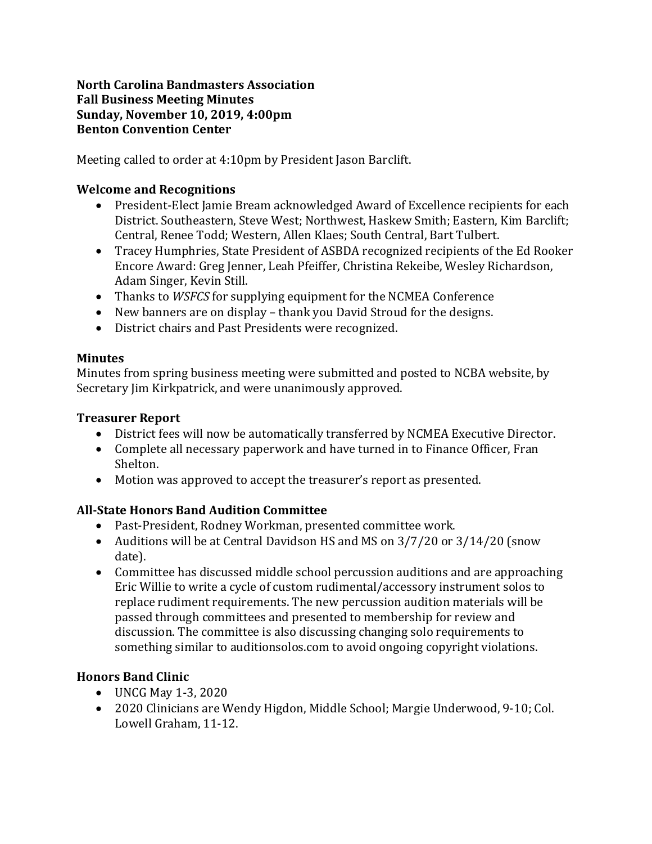#### **North Carolina Bandmasters Association Fall Business Meeting Minutes Sunday, November 10, 2019, 4:00pm Benton Convention Center**

Meeting called to order at 4:10pm by President Jason Barclift.

## **Welcome and Recognitions**

- President-Elect Jamie Bream acknowledged Award of Excellence recipients for each District. Southeastern, Steve West; Northwest, Haskew Smith; Eastern, Kim Barclift; Central, Renee Todd: Western, Allen Klaes: South Central, Bart Tulbert.
- Tracey Humphries, State President of ASBDA recognized recipients of the Ed Rooker Encore Award: Greg Jenner, Leah Pfeiffer, Christina Rekeibe, Wesley Richardson, Adam Singer, Kevin Still.
- Thanks to *WSFCS* for supplying equipment for the NCMEA Conference
- New banners are on display thank you David Stroud for the designs.
- District chairs and Past Presidents were recognized.

### **Minutes**

Minutes from spring business meeting were submitted and posted to NCBA website, by Secretary Jim Kirkpatrick, and were unanimously approved.

## **Treasurer Report**

- District fees will now be automatically transferred by NCMEA Executive Director.
- Complete all necessary paperwork and have turned in to Finance Officer, Fran Shelton.
- Motion was approved to accept the treasurer's report as presented.

# **All-State Honors Band Audition Committee**

- Past-President, Rodney Workman, presented committee work.
- Auditions will be at Central Davidson HS and MS on 3/7/20 or 3/14/20 (snow date).
- Committee has discussed middle school percussion auditions and are approaching Eric Willie to write a cycle of custom rudimental/accessory instrument solos to replace rudiment requirements. The new percussion audition materials will be passed through committees and presented to membership for review and discussion. The committee is also discussing changing solo requirements to something similar to auditionsolos.com to avoid ongoing copyright violations.

# **Honors Band Clinic**

- UNCG May 1-3, 2020
- 2020 Clinicians are Wendy Higdon, Middle School; Margie Underwood, 9-10; Col. Lowell Graham, 11-12.